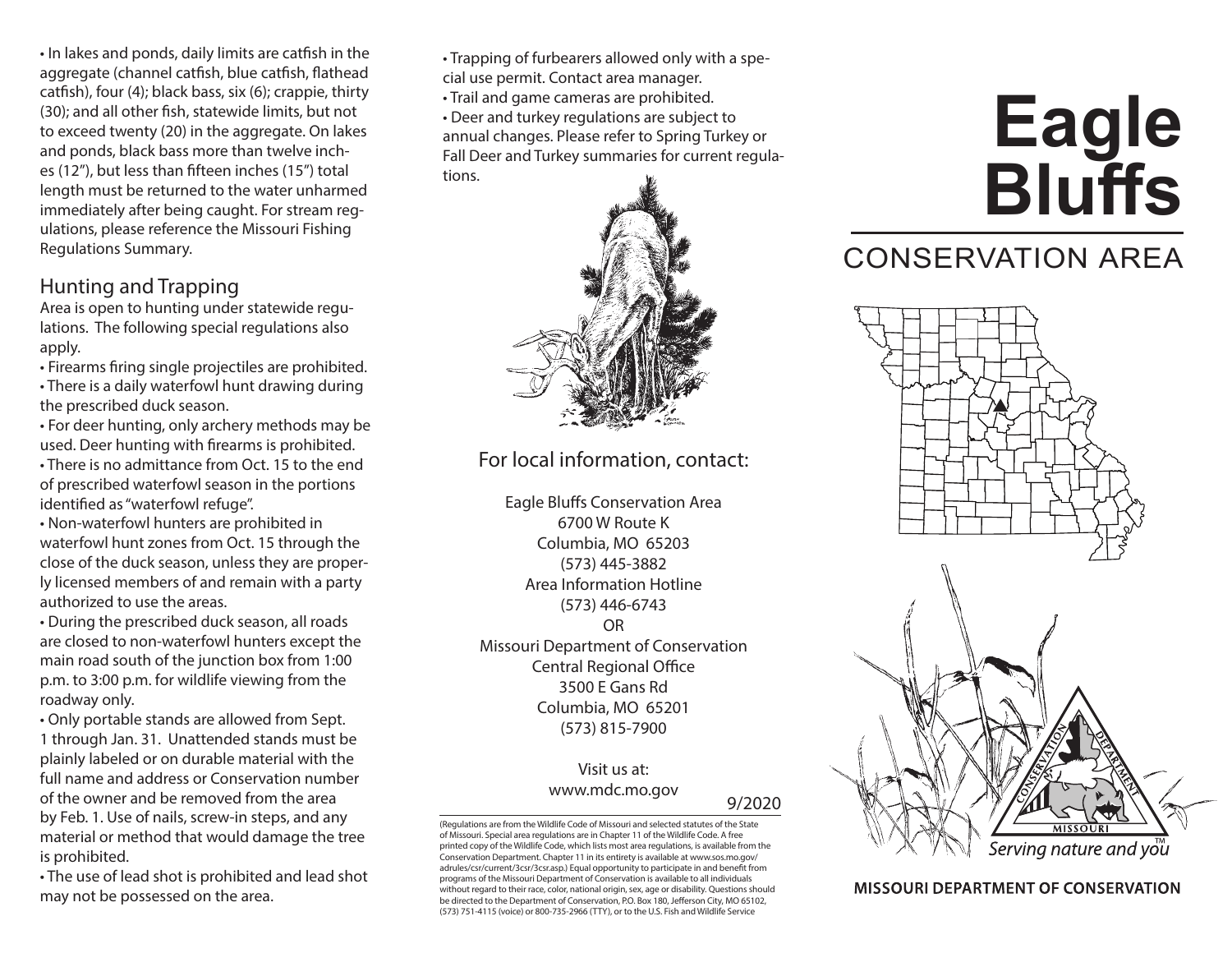• In lakes and ponds, daily limits are catfsh in the aggregate (channel catfsh, blue catfsh, fathead catfsh), four (4); black bass, six (6); crappie, thirty (30); and all other fsh, statewide limits, but not to exceed twenty (20) in the aggregate. On lakes and ponds, black bass more than twelve inches (12"), but less than ffteen inches (15") total length must be returned to the water unharmed immediately after being caught. For stream regulations, please reference the Missouri Fishing Regulations Summary.

#### Hunting and Trapping

Area is open to hunting under statewide regulations. The following special regulations also apply.

- Firearms fring single projectiles are prohibited.
- There is a daily waterfowl hunt drawing during the prescribed duck season.
- For deer hunting, only archery methods may be used. Deer hunting with frearms is prohibited.
- There is no admittance from Oct. 15 to the end of prescribed waterfowl season in the portions identifed as "waterfowl refuge".
- Non-waterfowl hunters are prohibited in waterfowl hunt zones from Oct. 15 through the close of the duck season, unless they are properly licensed members of and remain with a party authorized to use the areas.
- During the prescribed duck season, all roads are closed to non-waterfowl hunters except the main road south of the junction box from 1:00 p.m. to 3:00 p.m. for wildlife viewing from the roadway only.

• Only portable stands are allowed from Sept. 1 through Jan. 31. Unattended stands must be plainly labeled or on durable material with the full name and address or Conservation number of the owner and be removed from the area by Feb. 1. Use of nails, screw-in steps, and any material or method that would damage the tree is prohibited.

• The use of lead shot is prohibited and lead shot may not be possessed on the area.

• Trapping of furbearers allowed only with a spe-

cial use permit. Contact area manager.

• Trail and game cameras are prohibited.

• Deer and turkey regulations are subject to annual changes. Please refer to Spring Turkey or Fall Deer and Turkey summaries for current regulations.



For local information, contact:

Eagle Blufs Conservation Area 6700 W Route K Columbia, MO 65203 (573) 445-3882 Area Information Hotline (573) 446-6743 OR Missouri Department of Conservation Central Regional Office 3500 E Gans Rd Columbia, MO 65201 (573) 815-7900

### Visit us at: <www.mdc.mo.gov> 9/2020

(Regulations are from the Wildlife Code of Missouri and selected statutes of the State of Missouri. Special area regulations are in Chapter 11 of the Wildlife Code. A free printed copy of the Wildlife Code, which lists most area regulations, is available from the Conservation Department. Chapter 11 in its entirety is available at <www.sos.mo.gov>/ adrules/csr/current/3csr/3csr.asp.) Equal opportunity to participate in and beneft from programs of the Missouri Department of Conservation is available to all individuals without regard to their race, color, national origin, sex, age or disability. Questions should be directed to the Department of Conservation, P.O. Box 180, Jefferson City, MO 65102, (573) 751-4115 (voice) or 800-735-2966 (TTY), or to the U.S. Fish and Wildlife Service

# **Eagle Bluffs**

## CONSERVATION AREA



**MISSOURI DEPARTMENT OF CONSERVATION**